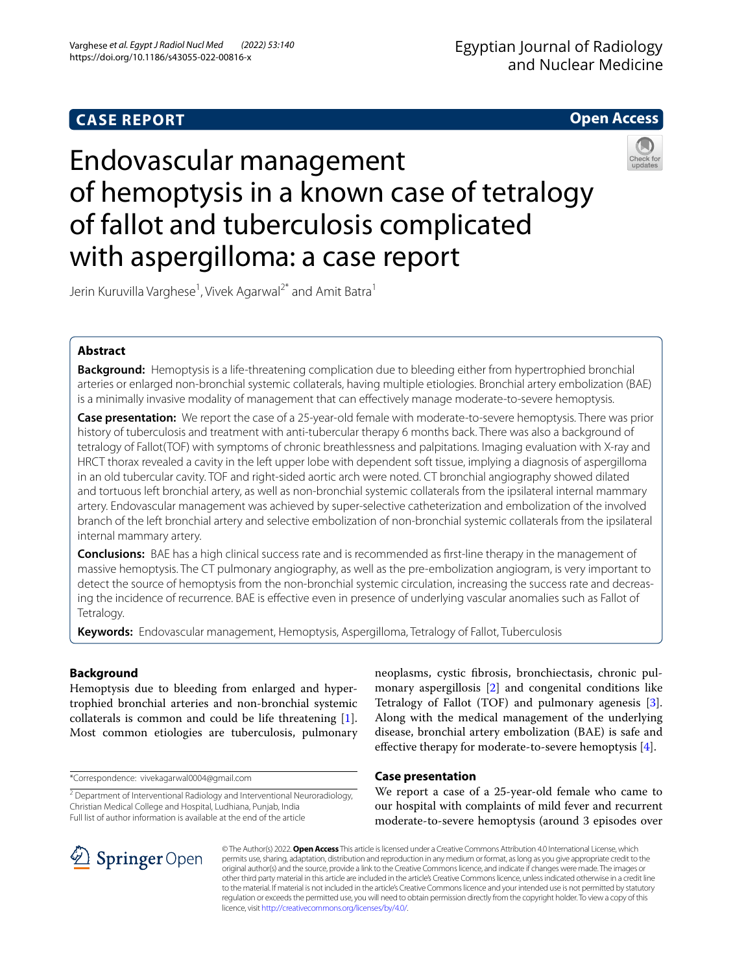## **CASE REPORT**



# Endovascular management of hemoptysis in a known case of tetralogy of fallot and tuberculosis complicated with aspergilloma: a case report



Jerin Kuruvilla Varghese<sup>1</sup>, Vivek Agarwal<sup>2\*</sup> and Amit Batra<sup>1</sup>

## **Abstract**

**Background:** Hemoptysis is a life-threatening complication due to bleeding either from hypertrophied bronchial arteries or enlarged non-bronchial systemic collaterals, having multiple etiologies. Bronchial artery embolization (BAE) is a minimally invasive modality of management that can efectively manage moderate-to-severe hemoptysis.

**Case presentation:** We report the case of a 25-year-old female with moderate-to-severe hemoptysis. There was prior history of tuberculosis and treatment with anti-tubercular therapy 6 months back. There was also a background of tetralogy of Fallot(TOF) with symptoms of chronic breathlessness and palpitations. Imaging evaluation with X-ray and HRCT thorax revealed a cavity in the left upper lobe with dependent soft tissue, implying a diagnosis of aspergilloma in an old tubercular cavity. TOF and right-sided aortic arch were noted. CT bronchial angiography showed dilated and tortuous left bronchial artery, as well as non-bronchial systemic collaterals from the ipsilateral internal mammary artery. Endovascular management was achieved by super-selective catheterization and embolization of the involved branch of the left bronchial artery and selective embolization of non-bronchial systemic collaterals from the ipsilateral internal mammary artery.

**Conclusions:** BAE has a high clinical success rate and is recommended as frst-line therapy in the management of massive hemoptysis. The CT pulmonary angiography, as well as the pre-embolization angiogram, is very important to detect the source of hemoptysis from the non-bronchial systemic circulation, increasing the success rate and decreasing the incidence of recurrence. BAE is efective even in presence of underlying vascular anomalies such as Fallot of Tetralogy.

**Keywords:** Endovascular management, Hemoptysis, Aspergilloma, Tetralogy of Fallot, Tuberculosis

## **Background**

Hemoptysis due to bleeding from enlarged and hypertrophied bronchial arteries and non-bronchial systemic collaterals is common and could be life threatening [\[1](#page-3-0)]. Most common etiologies are tuberculosis, pulmonary

\*Correspondence: vivekagarwal0004@gmail.com

<sup>2</sup> Department of Interventional Radiology and Interventional Neuroradiology, Christian Medical College and Hospital, Ludhiana, Punjab, India Full list of author information is available at the end of the article



## **Case presentation**

We report a case of a 25-year-old female who came to our hospital with complaints of mild fever and recurrent moderate-to-severe hemoptysis (around 3 episodes over



© The Author(s) 2022. **Open Access** This article is licensed under a Creative Commons Attribution 4.0 International License, which permits use, sharing, adaptation, distribution and reproduction in any medium or format, as long as you give appropriate credit to the original author(s) and the source, provide a link to the Creative Commons licence, and indicate if changes were made. The images or other third party material in this article are included in the article's Creative Commons licence, unless indicated otherwise in a credit line to the material. If material is not included in the article's Creative Commons licence and your intended use is not permitted by statutory regulation or exceeds the permitted use, you will need to obtain permission directly from the copyright holder. To view a copy of this licence, visit [http://creativecommons.org/licenses/by/4.0/.](http://creativecommons.org/licenses/by/4.0/)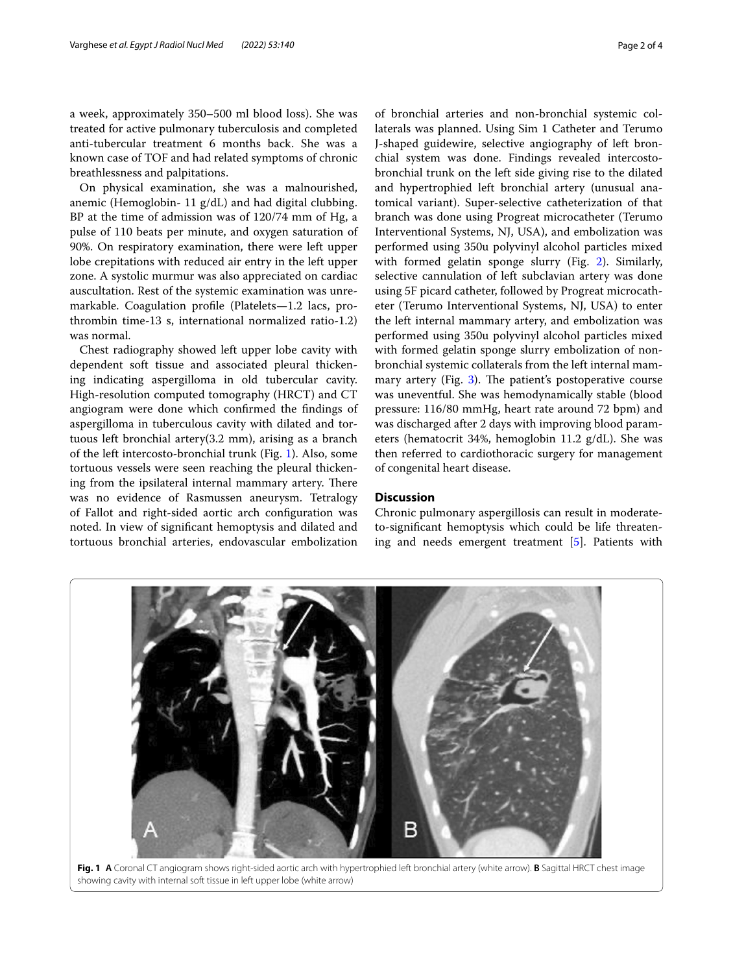a week, approximately 350–500 ml blood loss). She was treated for active pulmonary tuberculosis and completed anti-tubercular treatment 6 months back. She was a known case of TOF and had related symptoms of chronic breathlessness and palpitations.

On physical examination, she was a malnourished, anemic (Hemoglobin- 11 g/dL) and had digital clubbing. BP at the time of admission was of 120/74 mm of Hg, a pulse of 110 beats per minute, and oxygen saturation of 90%. On respiratory examination, there were left upper lobe crepitations with reduced air entry in the left upper zone. A systolic murmur was also appreciated on cardiac auscultation. Rest of the systemic examination was unremarkable. Coagulation profle (Platelets—1.2 lacs, prothrombin time-13 s, international normalized ratio-1.2) was normal.

Chest radiography showed left upper lobe cavity with dependent soft tissue and associated pleural thickening indicating aspergilloma in old tubercular cavity. High-resolution computed tomography (HRCT) and CT angiogram were done which confrmed the fndings of aspergilloma in tuberculous cavity with dilated and tortuous left bronchial artery(3.2 mm), arising as a branch of the left intercosto-bronchial trunk (Fig. [1](#page-1-0)). Also, some tortuous vessels were seen reaching the pleural thickening from the ipsilateral internal mammary artery. There was no evidence of Rasmussen aneurysm. Tetralogy of Fallot and right-sided aortic arch confguration was noted. In view of signifcant hemoptysis and dilated and tortuous bronchial arteries, endovascular embolization

of bronchial arteries and non-bronchial systemic collaterals was planned. Using Sim 1 Catheter and Terumo J-shaped guidewire, selective angiography of left bronchial system was done. Findings revealed intercostobronchial trunk on the left side giving rise to the dilated and hypertrophied left bronchial artery (unusual anatomical variant). Super-selective catheterization of that branch was done using Progreat microcatheter (Terumo Interventional Systems, NJ, USA), and embolization was performed using 350u polyvinyl alcohol particles mixed with formed gelatin sponge slurry (Fig. [2\)](#page-2-0). Similarly, selective cannulation of left subclavian artery was done using 5F picard catheter, followed by Progreat microcatheter (Terumo Interventional Systems, NJ, USA) to enter the left internal mammary artery, and embolization was performed using 350u polyvinyl alcohol particles mixed with formed gelatin sponge slurry embolization of nonbronchial systemic collaterals from the left internal mammary artery (Fig.  $3$ ). The patient's postoperative course was uneventful. She was hemodynamically stable (blood pressure: 116/80 mmHg, heart rate around 72 bpm) and was discharged after 2 days with improving blood parameters (hematocrit 34%, hemoglobin 11.2 g/dL). She was then referred to cardiothoracic surgery for management of congenital heart disease.

#### **Discussion**

Chronic pulmonary aspergillosis can result in moderateto-signifcant hemoptysis which could be life threatening and needs emergent treatment [\[5](#page-3-4)]. Patients with

<span id="page-1-0"></span>

**Fig. 1 A** Coronal CT angiogram shows right-sided aortic arch with hypertrophied left bronchial artery (white arrow). **B** Sagittal HRCT chest image showing cavity with internal soft tissue in left upper lobe (white arrow)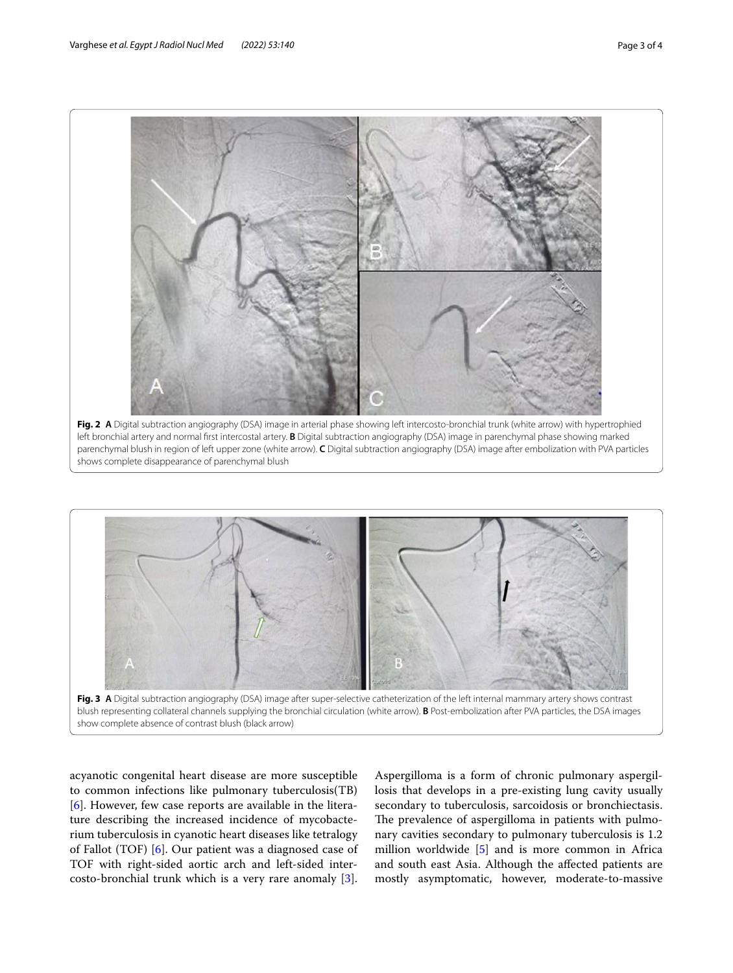

<span id="page-2-0"></span>shows complete disappearance of parenchymal blush



<span id="page-2-1"></span>acyanotic congenital heart disease are more susceptible to common infections like pulmonary tuberculosis(TB) [[6\]](#page-3-5). However, few case reports are available in the literature describing the increased incidence of mycobacterium tuberculosis in cyanotic heart diseases like tetralogy of Fallot (TOF) [\[6](#page-3-5)]. Our patient was a diagnosed case of TOF with right-sided aortic arch and left-sided intercosto-bronchial trunk which is a very rare anomaly [\[3](#page-3-2)].

Aspergilloma is a form of chronic pulmonary aspergillosis that develops in a pre-existing lung cavity usually secondary to tuberculosis, sarcoidosis or bronchiectasis. The prevalence of aspergilloma in patients with pulmonary cavities secondary to pulmonary tuberculosis is 1.2 million worldwide [\[5](#page-3-4)] and is more common in Africa and south east Asia. Although the afected patients are mostly asymptomatic, however, moderate-to-massive